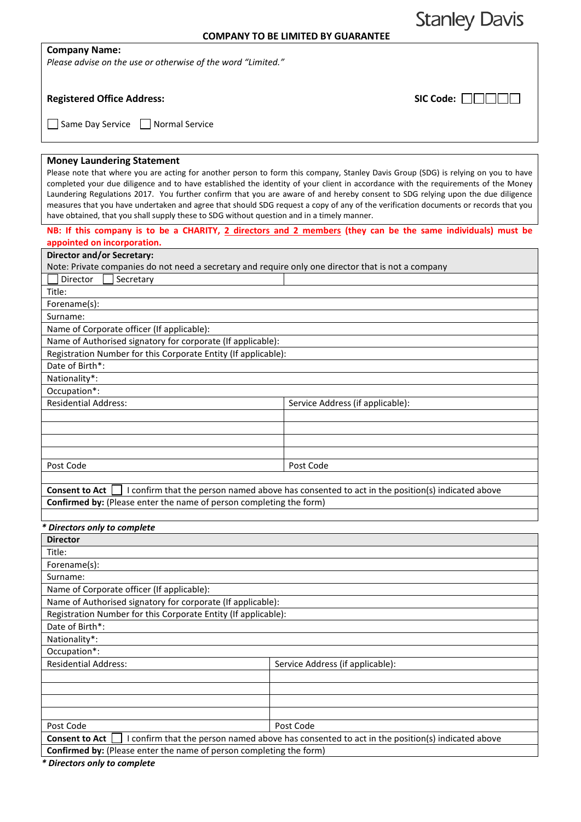**Stanley Davis** 

## **Company Name:**

*Please advise on the use or otherwise of the word "Limited."*

# **Registered Office Address:**

| $SIC Code: \Box \Box \Box \Box$ |  |  |  |  |
|---------------------------------|--|--|--|--|
|---------------------------------|--|--|--|--|

Same Day Service Normal Service

#### **Money Laundering Statement**

Please note that where you are acting for another person to form this company, Stanley Davis Group (SDG) is relying on you to have completed your due diligence and to have established the identity of your client in accordance with the requirements of the Money Laundering Regulations 2017. You further confirm that you are aware of and hereby consent to SDG relying upon the due diligence measures that you have undertaken and agree that should SDG request a copy of any of the verification documents or records that you have obtained, that you shall supply these to SDG without question and in a timely manner.

### **NB: If this company is to be a CHARITY, 2 directors and 2 members (they can be the same individuals) must be appointed on incorporation.**

| Director and/or Secretary:                                                                                                           |                                  |
|--------------------------------------------------------------------------------------------------------------------------------------|----------------------------------|
| Note: Private companies do not need a secretary and require only one director that is not a company                                  |                                  |
| Secretary<br>Director                                                                                                                |                                  |
| Title:                                                                                                                               |                                  |
| Forename(s):                                                                                                                         |                                  |
| Surname:                                                                                                                             |                                  |
| Name of Corporate officer (If applicable):                                                                                           |                                  |
| Name of Authorised signatory for corporate (If applicable):                                                                          |                                  |
| Registration Number for this Corporate Entity (If applicable):                                                                       |                                  |
| Date of Birth*:                                                                                                                      |                                  |
| Nationality*:                                                                                                                        |                                  |
| Occupation*:                                                                                                                         |                                  |
| <b>Residential Address:</b>                                                                                                          | Service Address (if applicable): |
|                                                                                                                                      |                                  |
|                                                                                                                                      |                                  |
|                                                                                                                                      |                                  |
|                                                                                                                                      |                                  |
| Post Code                                                                                                                            | Post Code                        |
|                                                                                                                                      |                                  |
| $C_{\text{measurable}}$ $A$ at $\Box$ i confirm that the newser perced above has concentral to act in the negligated indicated chave |                                  |

**Consent to Act**  $\Box$  I confirm that the person named above has consented to act in the position(s) indicated above **Confirmed by:** (Please enter the name of person completing the form)

# *\* Directors only to complete*

| <b>Director</b>                                                                                                        |                                  |  |
|------------------------------------------------------------------------------------------------------------------------|----------------------------------|--|
| Title:                                                                                                                 |                                  |  |
| Forename(s):                                                                                                           |                                  |  |
| Surname:                                                                                                               |                                  |  |
| Name of Corporate officer (If applicable):                                                                             |                                  |  |
| Name of Authorised signatory for corporate (If applicable):                                                            |                                  |  |
| Registration Number for this Corporate Entity (If applicable):                                                         |                                  |  |
| Date of Birth*:                                                                                                        |                                  |  |
| Nationality*:                                                                                                          |                                  |  |
| Occupation*:                                                                                                           |                                  |  |
| <b>Residential Address:</b>                                                                                            | Service Address (if applicable): |  |
|                                                                                                                        |                                  |  |
|                                                                                                                        |                                  |  |
|                                                                                                                        |                                  |  |
|                                                                                                                        |                                  |  |
| Post Code                                                                                                              | Post Code                        |  |
| I confirm that the person named above has consented to act in the position(s) indicated above<br><b>Consent to Act</b> |                                  |  |
| <b>Confirmed by:</b> (Please enter the name of person completing the form)                                             |                                  |  |

*\* Directors only to complete*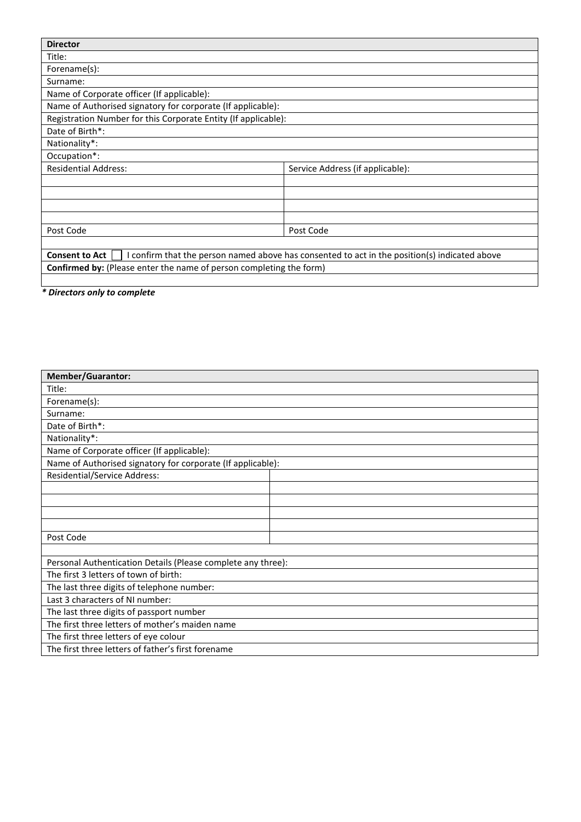| <b>Director</b>                                                                                                        |           |  |
|------------------------------------------------------------------------------------------------------------------------|-----------|--|
| Title:                                                                                                                 |           |  |
| Forename(s):                                                                                                           |           |  |
| Surname:                                                                                                               |           |  |
| Name of Corporate officer (If applicable):                                                                             |           |  |
| Name of Authorised signatory for corporate (If applicable):                                                            |           |  |
| Registration Number for this Corporate Entity (If applicable):                                                         |           |  |
| Date of Birth*:                                                                                                        |           |  |
| Nationality*:                                                                                                          |           |  |
| Occupation*:                                                                                                           |           |  |
| <b>Residential Address:</b><br>Service Address (if applicable):                                                        |           |  |
|                                                                                                                        |           |  |
|                                                                                                                        |           |  |
|                                                                                                                        |           |  |
|                                                                                                                        |           |  |
| Post Code                                                                                                              | Post Code |  |
|                                                                                                                        |           |  |
| <b>Consent to Act</b><br>I confirm that the person named above has consented to act in the position(s) indicated above |           |  |
| <b>Confirmed by:</b> (Please enter the name of person completing the form)                                             |           |  |
|                                                                                                                        |           |  |

*\* Directors only to complete*

| <b>Member/Guarantor:</b>                                     |  |  |
|--------------------------------------------------------------|--|--|
| Title:                                                       |  |  |
| Forename(s):                                                 |  |  |
| Surname:                                                     |  |  |
| Date of Birth*:                                              |  |  |
| Nationality*:                                                |  |  |
| Name of Corporate officer (If applicable):                   |  |  |
| Name of Authorised signatory for corporate (If applicable):  |  |  |
| <b>Residential/Service Address:</b>                          |  |  |
|                                                              |  |  |
|                                                              |  |  |
|                                                              |  |  |
|                                                              |  |  |
| Post Code                                                    |  |  |
|                                                              |  |  |
| Personal Authentication Details (Please complete any three): |  |  |
| The first 3 letters of town of birth:                        |  |  |
| The last three digits of telephone number:                   |  |  |
| Last 3 characters of NI number:                              |  |  |
| The last three digits of passport number                     |  |  |
| The first three letters of mother's maiden name              |  |  |
| The first three letters of eye colour                        |  |  |
| The first three letters of father's first forename           |  |  |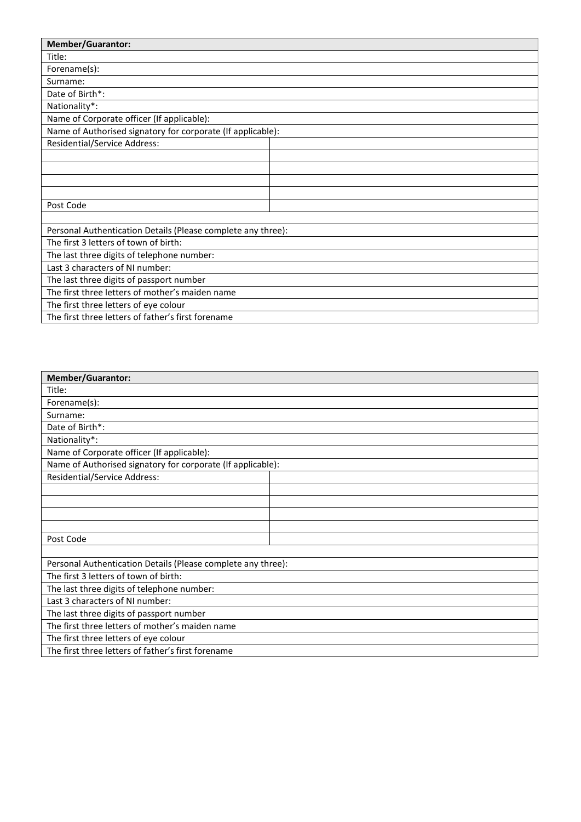| <b>Member/Guarantor:</b>                                     |  |  |
|--------------------------------------------------------------|--|--|
| Title:                                                       |  |  |
| Forename(s):                                                 |  |  |
| Surname:                                                     |  |  |
| Date of Birth*:                                              |  |  |
| Nationality*:                                                |  |  |
|                                                              |  |  |
| Name of Corporate officer (If applicable):                   |  |  |
| Name of Authorised signatory for corporate (If applicable):  |  |  |
| Residential/Service Address:                                 |  |  |
|                                                              |  |  |
|                                                              |  |  |
|                                                              |  |  |
|                                                              |  |  |
| Post Code                                                    |  |  |
|                                                              |  |  |
| Personal Authentication Details (Please complete any three): |  |  |
| The first 3 letters of town of birth:                        |  |  |
| The last three digits of telephone number:                   |  |  |
| Last 3 characters of NI number:                              |  |  |
| The last three digits of passport number                     |  |  |
| The first three letters of mother's maiden name              |  |  |
| The first three letters of eye colour                        |  |  |
| The first three letters of father's first forename           |  |  |

| <b>Member/Guarantor:</b>                                     |  |  |
|--------------------------------------------------------------|--|--|
| Title:                                                       |  |  |
| Forename(s):                                                 |  |  |
| Surname:                                                     |  |  |
| Date of Birth*:                                              |  |  |
| Nationality*:                                                |  |  |
| Name of Corporate officer (If applicable):                   |  |  |
| Name of Authorised signatory for corporate (If applicable):  |  |  |
| Residential/Service Address:                                 |  |  |
|                                                              |  |  |
|                                                              |  |  |
|                                                              |  |  |
|                                                              |  |  |
| Post Code                                                    |  |  |
|                                                              |  |  |
| Personal Authentication Details (Please complete any three): |  |  |
| The first 3 letters of town of birth:                        |  |  |
| The last three digits of telephone number:                   |  |  |
| Last 3 characters of NI number:                              |  |  |
| The last three digits of passport number                     |  |  |
| The first three letters of mother's maiden name              |  |  |
| The first three letters of eye colour                        |  |  |
| The first three letters of father's first forename           |  |  |